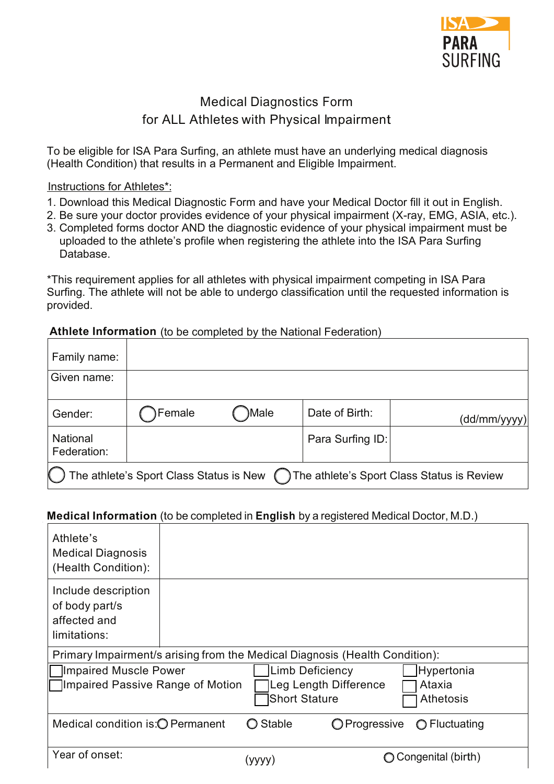

# Medical Diagnostics Form for ALL Athletes with Physical Impairment

To be eligible for ISA Para Surfing, an athlete must have an underlying medical diagnosis (Health Condition) that results in a Permanent and Eligible Impairment.

### Instructions for Athletes\*:

- 1. Download this Medical Diagnostic Form and have your Medical Doctor fill it out in English.
- 2. Be sure your doctor provides evidence of your physical impairment (X-ray, EMG, ASIA, etc.).
- 3. Completed forms doctor AND the diagnostic evidence of your physical impairment must be uploaded to the athlete's profile when registering the athlete into the ISA Para Surfing Database.

\*This requirement applies for all athletes with physical impairment competing in ISA Para Surfing. The athlete will not be able to undergo classification until the requested information is provided.

## **Athlete Information** (to be completed by the National Federation)

| Family name:                   |                                         |       |                  |                                            |
|--------------------------------|-----------------------------------------|-------|------------------|--------------------------------------------|
| Given name:                    |                                         |       |                  |                                            |
| Gender:                        | Female                                  | )Male | Date of Birth:   | (dd/mm/yyyy)                               |
| <b>National</b><br>Federation: |                                         |       | Para Surfing ID: |                                            |
|                                | The athlete's Sport Class Status is New |       |                  | The athlete's Sport Class Status is Review |

### **Medical Information** (to be completed in **English** by a registered Medical Doctor, M.D.) !

| Athlete's<br><b>Medical Diagnosis</b><br>(Health Condition):                |                                                                  |                       |                            |
|-----------------------------------------------------------------------------|------------------------------------------------------------------|-----------------------|----------------------------|
| Include description<br>of body part/s<br>affected and<br>limitations:       |                                                                  |                       |                            |
| Primary Impairment/s arising from the Medical Diagnosis (Health Condition): |                                                                  |                       |                            |
| Impaired Muscle Power                                                       | <b>Limb Deficiency</b>                                           |                       | Hypertonia                 |
| Impaired Passive Range of Motion                                            | <b>Short Stature</b>                                             | Leg Length Difference | Ataxia<br><b>Athetosis</b> |
| Medical condition is: O Permanent                                           | <b>Stable</b><br>$\left( \begin{array}{c} 1 \end{array} \right)$ | O Progressive         | $\bigcirc$ Fluctuating     |
| Year of onset:                                                              | (yyyy)                                                           |                       | Congenital (birth)         |